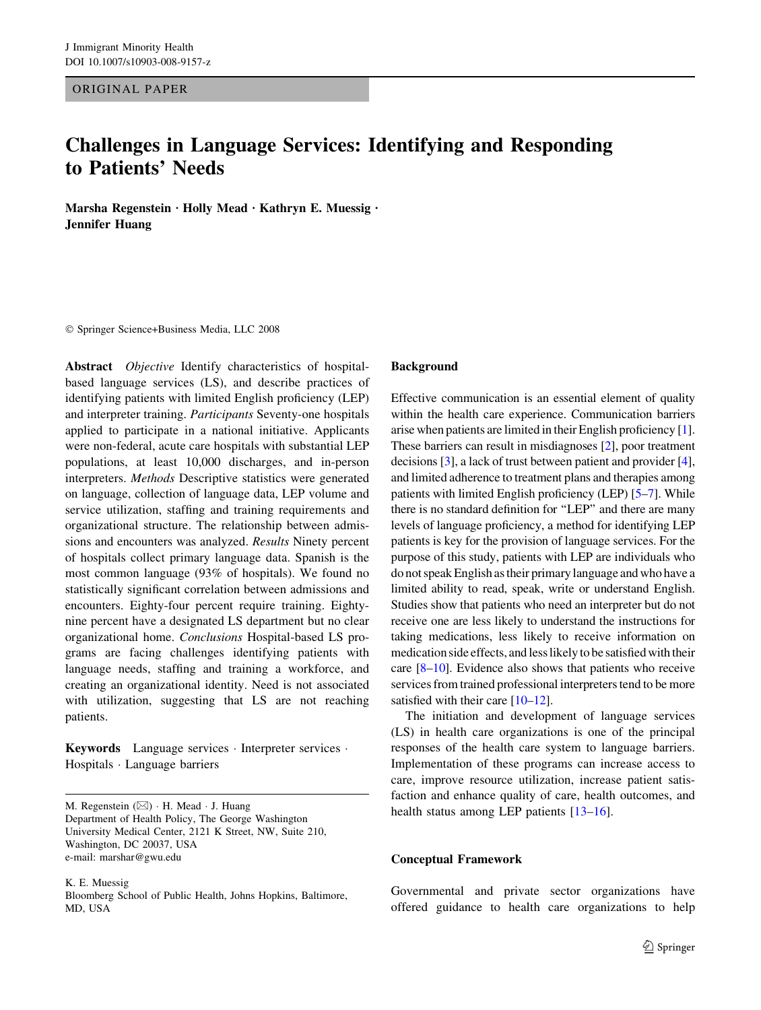ORIGINAL PAPER

# Challenges in Language Services: Identifying and Responding to Patients' Needs

Marsha Regenstein · Holly Mead · Kathryn E. Muessig · Jennifer Huang

Springer Science+Business Media, LLC 2008

Abstract Objective Identify characteristics of hospitalbased language services (LS), and describe practices of identifying patients with limited English proficiency (LEP) and interpreter training. Participants Seventy-one hospitals applied to participate in a national initiative. Applicants were non-federal, acute care hospitals with substantial LEP populations, at least 10,000 discharges, and in-person interpreters. Methods Descriptive statistics were generated on language, collection of language data, LEP volume and service utilization, staffing and training requirements and organizational structure. The relationship between admissions and encounters was analyzed. Results Ninety percent of hospitals collect primary language data. Spanish is the most common language (93% of hospitals). We found no statistically significant correlation between admissions and encounters. Eighty-four percent require training. Eightynine percent have a designated LS department but no clear organizational home. Conclusions Hospital-based LS programs are facing challenges identifying patients with language needs, staffing and training a workforce, and creating an organizational identity. Need is not associated with utilization, suggesting that LS are not reaching patients.

Keywords Language services · Interpreter services · Hospitals · Language barriers

M. Regenstein  $(\boxtimes) \cdot$  H. Mead  $\cdot$  J. Huang Department of Health Policy, The George Washington University Medical Center, 2121 K Street, NW, Suite 210, Washington, DC 20037, USA e-mail: marshar@gwu.edu

K. E. Muessig

Bloomberg School of Public Health, Johns Hopkins, Baltimore, MD, USA

#### Background

Effective communication is an essential element of quality within the health care experience. Communication barriers arise when patients are limited in their English proficiency [[1\]](#page-5-0). These barriers can result in misdiagnoses [[2](#page-5-0)], poor treatment decisions [[3\]](#page-5-0), a lack of trust between patient and provider [[4\]](#page-5-0), and limited adherence to treatment plans and therapies among patients with limited English proficiency (LEP) [\[5–7](#page-5-0)]. While there is no standard definition for ''LEP'' and there are many levels of language proficiency, a method for identifying LEP patients is key for the provision of language services. For the purpose of this study, patients with LEP are individuals who do not speak English as their primary language and who have a limited ability to read, speak, write or understand English. Studies show that patients who need an interpreter but do not receive one are less likely to understand the instructions for taking medications, less likely to receive information on medication side effects, and less likely to be satisfied with their care [\[8–10\]](#page-5-0). Evidence also shows that patients who receive services from trained professional interpreters tend to be more satisfied with their care  $[10-12]$ .

The initiation and development of language services (LS) in health care organizations is one of the principal responses of the health care system to language barriers. Implementation of these programs can increase access to care, improve resource utilization, increase patient satisfaction and enhance quality of care, health outcomes, and health status among LEP patients [[13–16\]](#page-5-0).

#### Conceptual Framework

Governmental and private sector organizations have offered guidance to health care organizations to help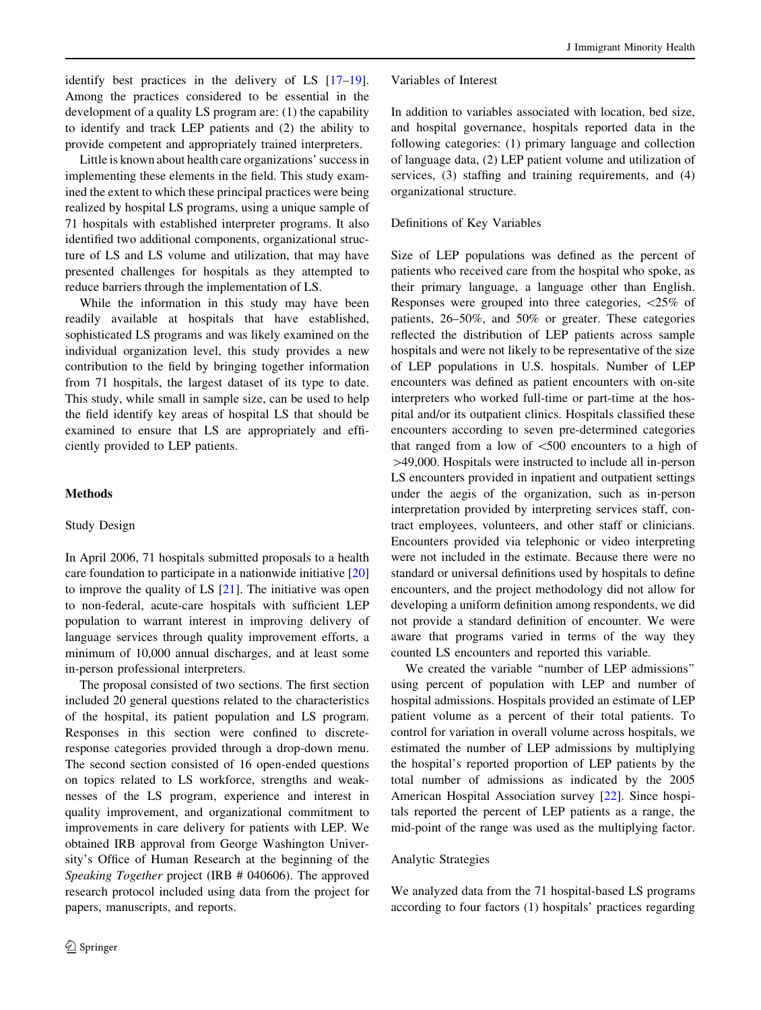identify best practices in the delivery of LS [\[17–19](#page-5-0)]. Among the practices considered to be essential in the development of a quality LS program are: (1) the capability to identify and track LEP patients and (2) the ability to provide competent and appropriately trained interpreters.

Little is known about health care organizations' success in implementing these elements in the field. This study examined the extent to which these principal practices were being realized by hospital LS programs, using a unique sample of 71 hospitals with established interpreter programs. It also identified two additional components, organizational structure of LS and LS volume and utilization, that may have presented challenges for hospitals as they attempted to reduce barriers through the implementation of LS.

While the information in this study may have been readily available at hospitals that have established, sophisticated LS programs and was likely examined on the individual organization level, this study provides a new contribution to the field by bringing together information from 71 hospitals, the largest dataset of its type to date. This study, while small in sample size, can be used to help the field identify key areas of hospital LS that should be examined to ensure that LS are appropriately and efficiently provided to LEP patients.

### Methods

### Study Design

In April 2006, 71 hospitals submitted proposals to a health care foundation to participate in a nationwide initiative [[20\]](#page-5-0) to improve the quality of LS [\[21](#page-5-0)]. The initiative was open to non-federal, acute-care hospitals with sufficient LEP population to warrant interest in improving delivery of language services through quality improvement efforts, a minimum of 10,000 annual discharges, and at least some in-person professional interpreters.

The proposal consisted of two sections. The first section included 20 general questions related to the characteristics of the hospital, its patient population and LS program. Responses in this section were confined to discreteresponse categories provided through a drop-down menu. The second section consisted of 16 open-ended questions on topics related to LS workforce, strengths and weaknesses of the LS program, experience and interest in quality improvement, and organizational commitment to improvements in care delivery for patients with LEP. We obtained IRB approval from George Washington University's Office of Human Research at the beginning of the Speaking Together project (IRB # 040606). The approved research protocol included using data from the project for papers, manuscripts, and reports.

#### Variables of Interest

In addition to variables associated with location, bed size, and hospital governance, hospitals reported data in the following categories: (1) primary language and collection of language data, (2) LEP patient volume and utilization of services, (3) staffing and training requirements, and (4) organizational structure.

### Definitions of Key Variables

Size of LEP populations was defined as the percent of patients who received care from the hospital who spoke, as their primary language, a language other than English. Responses were grouped into three categories,  $\langle 25\% \rangle$  of patients, 26–50%, and 50% or greater. These categories reflected the distribution of LEP patients across sample hospitals and were not likely to be representative of the size of LEP populations in U.S. hospitals. Number of LEP encounters was defined as patient encounters with on-site interpreters who worked full-time or part-time at the hospital and/or its outpatient clinics. Hospitals classified these encounters according to seven pre-determined categories that ranged from a low of  $\leq 500$  encounters to a high of [49,000. Hospitals were instructed to include all in-person LS encounters provided in inpatient and outpatient settings under the aegis of the organization, such as in-person interpretation provided by interpreting services staff, contract employees, volunteers, and other staff or clinicians. Encounters provided via telephonic or video interpreting were not included in the estimate. Because there were no standard or universal definitions used by hospitals to define encounters, and the project methodology did not allow for developing a uniform definition among respondents, we did not provide a standard definition of encounter. We were aware that programs varied in terms of the way they counted LS encounters and reported this variable.

We created the variable ''number of LEP admissions'' using percent of population with LEP and number of hospital admissions. Hospitals provided an estimate of LEP patient volume as a percent of their total patients. To control for variation in overall volume across hospitals, we estimated the number of LEP admissions by multiplying the hospital's reported proportion of LEP patients by the total number of admissions as indicated by the 2005 American Hospital Association survey [\[22](#page-5-0)]. Since hospitals reported the percent of LEP patients as a range, the mid-point of the range was used as the multiplying factor.

## Analytic Strategies

We analyzed data from the 71 hospital-based LS programs according to four factors (1) hospitals' practices regarding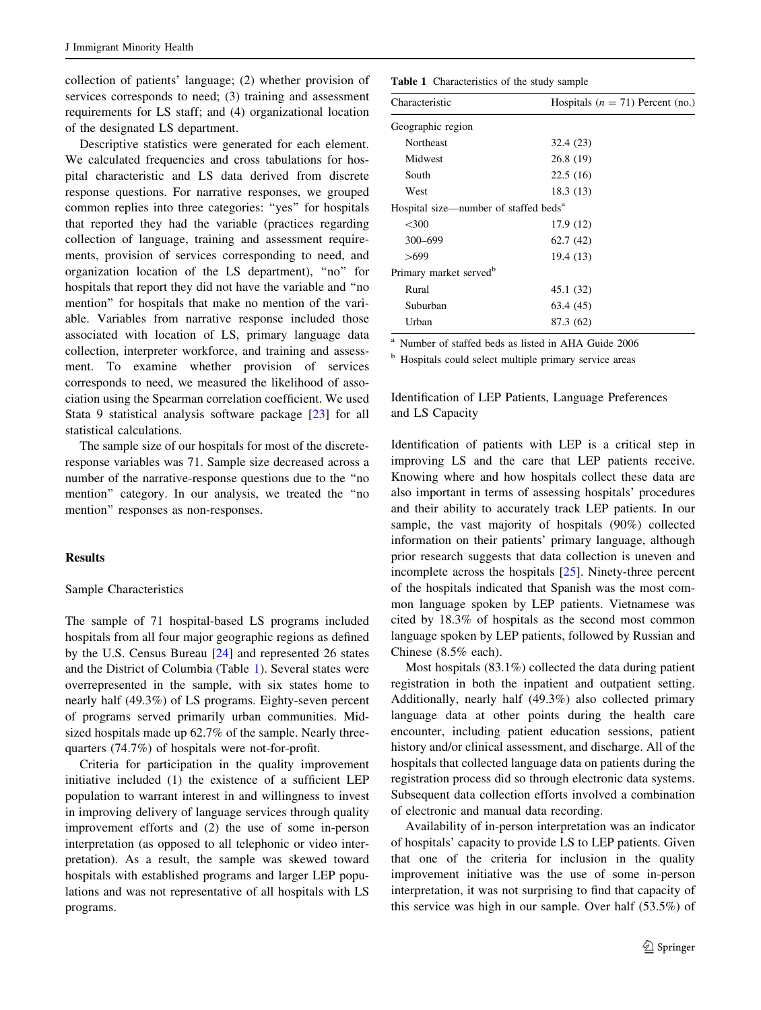collection of patients' language; (2) whether provision of services corresponds to need; (3) training and assessment requirements for LS staff; and (4) organizational location of the designated LS department.

Descriptive statistics were generated for each element. We calculated frequencies and cross tabulations for hospital characteristic and LS data derived from discrete response questions. For narrative responses, we grouped common replies into three categories: ''yes'' for hospitals that reported they had the variable (practices regarding collection of language, training and assessment requirements, provision of services corresponding to need, and organization location of the LS department), ''no'' for hospitals that report they did not have the variable and ''no mention'' for hospitals that make no mention of the variable. Variables from narrative response included those associated with location of LS, primary language data collection, interpreter workforce, and training and assessment. To examine whether provision of services corresponds to need, we measured the likelihood of association using the Spearman correlation coefficient. We used Stata 9 statistical analysis software package [[23\]](#page-5-0) for all statistical calculations.

The sample size of our hospitals for most of the discreteresponse variables was 71. Sample size decreased across a number of the narrative-response questions due to the ''no mention'' category. In our analysis, we treated the ''no mention'' responses as non-responses.

### **Results**

#### Sample Characteristics

The sample of 71 hospital-based LS programs included hospitals from all four major geographic regions as defined by the U.S. Census Bureau [\[24](#page-5-0)] and represented 26 states and the District of Columbia (Table 1). Several states were overrepresented in the sample, with six states home to nearly half (49.3%) of LS programs. Eighty-seven percent of programs served primarily urban communities. Midsized hospitals made up 62.7% of the sample. Nearly threequarters (74.7%) of hospitals were not-for-profit.

Criteria for participation in the quality improvement initiative included (1) the existence of a sufficient LEP population to warrant interest in and willingness to invest in improving delivery of language services through quality improvement efforts and (2) the use of some in-person interpretation (as opposed to all telephonic or video interpretation). As a result, the sample was skewed toward hospitals with established programs and larger LEP populations and was not representative of all hospitals with LS programs.

Table 1 Characteristics of the study sample

| Characteristic                                    | Hospitals ( $n = 71$ ) Percent (no.) |
|---------------------------------------------------|--------------------------------------|
| Geographic region                                 |                                      |
| Northeast                                         | 32.4(23)                             |
| Midwest                                           | 26.8(19)                             |
| South                                             | 22.5(16)                             |
| West                                              | 18.3 (13)                            |
| Hospital size—number of staffed beds <sup>a</sup> |                                      |
| $<$ 300                                           | 17.9 (12)                            |
| 300-699                                           | 62.7(42)                             |
| >699                                              | 19.4 (13)                            |
| Primary market served <sup>b</sup>                |                                      |
| Rural                                             | 45.1 (32)                            |
| Suburban                                          | 63.4 (45)                            |
| Urban                                             | 87.3 (62)                            |

<sup>a</sup> Number of staffed beds as listed in AHA Guide 2006

<sup>b</sup> Hospitals could select multiple primary service areas

## Identification of LEP Patients, Language Preferences and LS Capacity

Identification of patients with LEP is a critical step in improving LS and the care that LEP patients receive. Knowing where and how hospitals collect these data are also important in terms of assessing hospitals' procedures and their ability to accurately track LEP patients. In our sample, the vast majority of hospitals (90%) collected information on their patients' primary language, although prior research suggests that data collection is uneven and incomplete across the hospitals [\[25](#page-5-0)]. Ninety-three percent of the hospitals indicated that Spanish was the most common language spoken by LEP patients. Vietnamese was cited by 18.3% of hospitals as the second most common language spoken by LEP patients, followed by Russian and Chinese (8.5% each).

Most hospitals (83.1%) collected the data during patient registration in both the inpatient and outpatient setting. Additionally, nearly half (49.3%) also collected primary language data at other points during the health care encounter, including patient education sessions, patient history and/or clinical assessment, and discharge. All of the hospitals that collected language data on patients during the registration process did so through electronic data systems. Subsequent data collection efforts involved a combination of electronic and manual data recording.

Availability of in-person interpretation was an indicator of hospitals' capacity to provide LS to LEP patients. Given that one of the criteria for inclusion in the quality improvement initiative was the use of some in-person interpretation, it was not surprising to find that capacity of this service was high in our sample. Over half (53.5%) of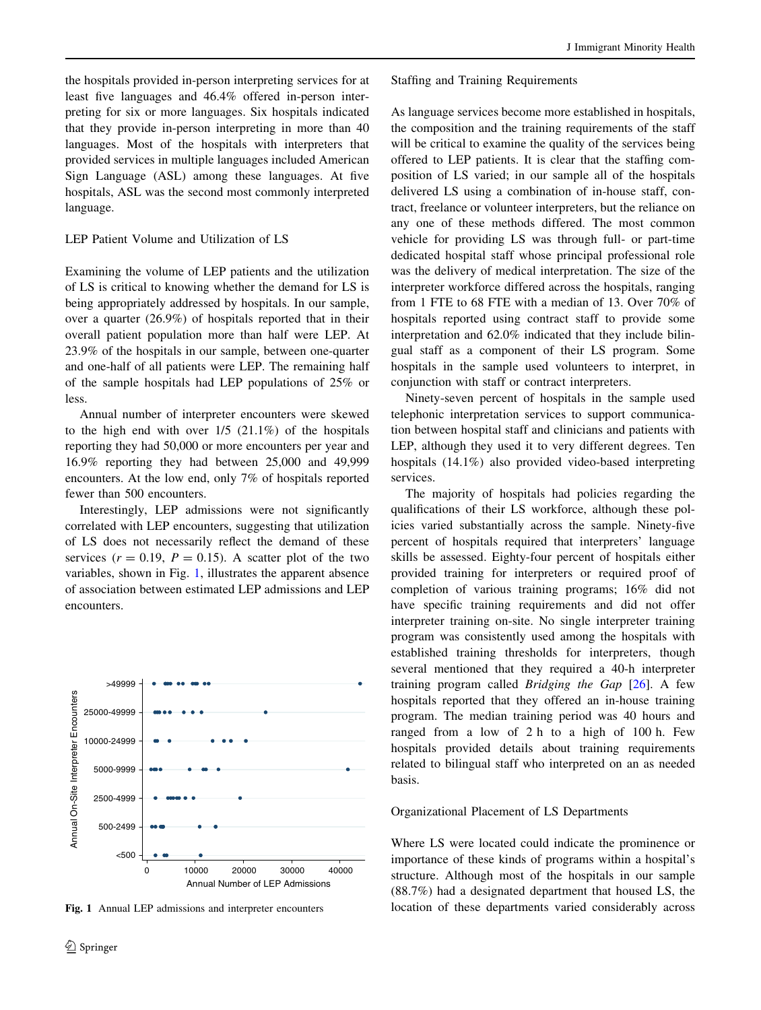the hospitals provided in-person interpreting services for at least five languages and 46.4% offered in-person interpreting for six or more languages. Six hospitals indicated that they provide in-person interpreting in more than 40 languages. Most of the hospitals with interpreters that provided services in multiple languages included American Sign Language (ASL) among these languages. At five hospitals, ASL was the second most commonly interpreted language.

#### LEP Patient Volume and Utilization of LS

Examining the volume of LEP patients and the utilization of LS is critical to knowing whether the demand for LS is being appropriately addressed by hospitals. In our sample, over a quarter (26.9%) of hospitals reported that in their overall patient population more than half were LEP. At 23.9% of the hospitals in our sample, between one-quarter and one-half of all patients were LEP. The remaining half of the sample hospitals had LEP populations of 25% or less.

Annual number of interpreter encounters were skewed to the high end with over  $1/5$  (21.1%) of the hospitals reporting they had 50,000 or more encounters per year and 16.9% reporting they had between 25,000 and 49,999 encounters. At the low end, only 7% of hospitals reported fewer than 500 encounters.

Interestingly, LEP admissions were not significantly correlated with LEP encounters, suggesting that utilization of LS does not necessarily reflect the demand of these services ( $r = 0.19$ ,  $P = 0.15$ ). A scatter plot of the two variables, shown in Fig. 1, illustrates the apparent absence of association between estimated LEP admissions and LEP encounters.



Fig. 1 Annual LEP admissions and interpreter encounters

Staffing and Training Requirements

As language services become more established in hospitals, the composition and the training requirements of the staff will be critical to examine the quality of the services being offered to LEP patients. It is clear that the staffing composition of LS varied; in our sample all of the hospitals delivered LS using a combination of in-house staff, contract, freelance or volunteer interpreters, but the reliance on any one of these methods differed. The most common vehicle for providing LS was through full- or part-time dedicated hospital staff whose principal professional role was the delivery of medical interpretation. The size of the interpreter workforce differed across the hospitals, ranging from 1 FTE to 68 FTE with a median of 13. Over 70% of hospitals reported using contract staff to provide some interpretation and 62.0% indicated that they include bilingual staff as a component of their LS program. Some hospitals in the sample used volunteers to interpret, in conjunction with staff or contract interpreters.

Ninety-seven percent of hospitals in the sample used telephonic interpretation services to support communication between hospital staff and clinicians and patients with LEP, although they used it to very different degrees. Ten hospitals (14.1%) also provided video-based interpreting services.

The majority of hospitals had policies regarding the qualifications of their LS workforce, although these policies varied substantially across the sample. Ninety-five percent of hospitals required that interpreters' language skills be assessed. Eighty-four percent of hospitals either provided training for interpreters or required proof of completion of various training programs; 16% did not have specific training requirements and did not offer interpreter training on-site. No single interpreter training program was consistently used among the hospitals with established training thresholds for interpreters, though several mentioned that they required a 40-h interpreter training program called *Bridging the Gap*  $[26]$  $[26]$ . A few hospitals reported that they offered an in-house training program. The median training period was 40 hours and ranged from a low of 2 h to a high of 100 h. Few hospitals provided details about training requirements related to bilingual staff who interpreted on an as needed basis.

#### Organizational Placement of LS Departments

Where LS were located could indicate the prominence or importance of these kinds of programs within a hospital's structure. Although most of the hospitals in our sample (88.7%) had a designated department that housed LS, the location of these departments varied considerably across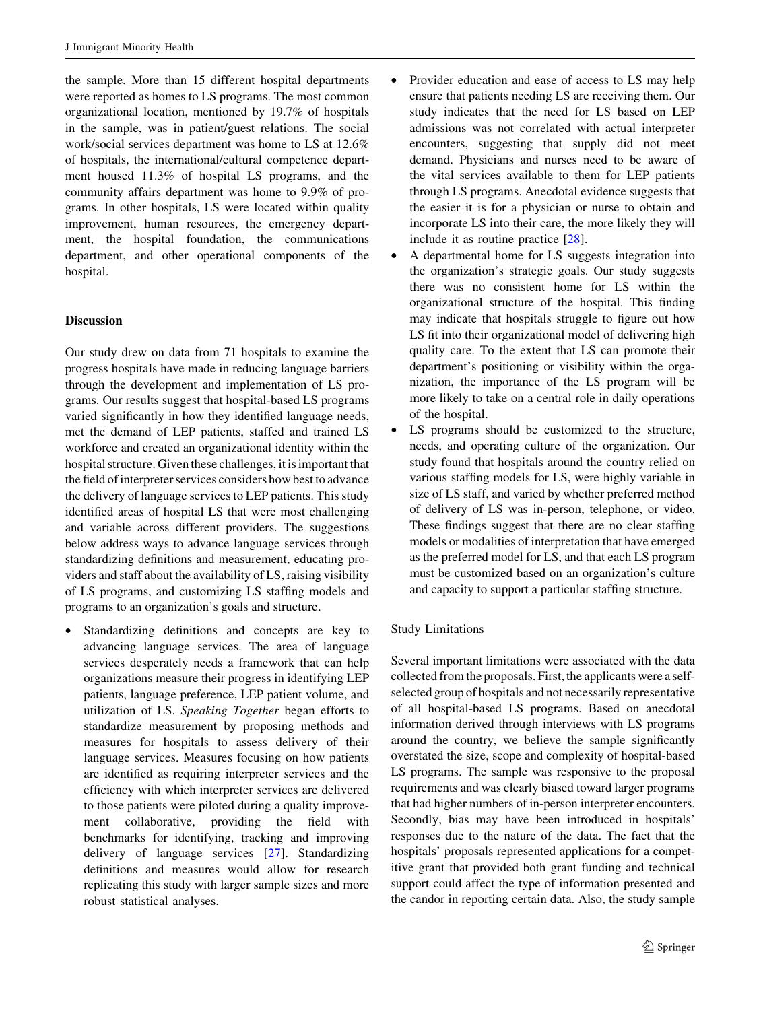the sample. More than 15 different hospital departments were reported as homes to LS programs. The most common organizational location, mentioned by 19.7% of hospitals in the sample, was in patient/guest relations. The social work/social services department was home to LS at 12.6% of hospitals, the international/cultural competence department housed 11.3% of hospital LS programs, and the community affairs department was home to 9.9% of programs. In other hospitals, LS were located within quality improvement, human resources, the emergency department, the hospital foundation, the communications department, and other operational components of the hospital.

## Discussion

Our study drew on data from 71 hospitals to examine the progress hospitals have made in reducing language barriers through the development and implementation of LS programs. Our results suggest that hospital-based LS programs varied significantly in how they identified language needs, met the demand of LEP patients, staffed and trained LS workforce and created an organizational identity within the hospital structure. Given these challenges, it is important that the field of interpreter services considers how best to advance the delivery of language services to LEP patients. This study identified areas of hospital LS that were most challenging and variable across different providers. The suggestions below address ways to advance language services through standardizing definitions and measurement, educating providers and staff about the availability of LS, raising visibility of LS programs, and customizing LS staffing models and programs to an organization's goals and structure.

Standardizing definitions and concepts are key to advancing language services. The area of language services desperately needs a framework that can help organizations measure their progress in identifying LEP patients, language preference, LEP patient volume, and utilization of LS. Speaking Together began efforts to standardize measurement by proposing methods and measures for hospitals to assess delivery of their language services. Measures focusing on how patients are identified as requiring interpreter services and the efficiency with which interpreter services are delivered to those patients were piloted during a quality improvement collaborative, providing the field with benchmarks for identifying, tracking and improving delivery of language services [[27\]](#page-5-0). Standardizing definitions and measures would allow for research replicating this study with larger sample sizes and more robust statistical analyses.

- Provider education and ease of access to LS may help ensure that patients needing LS are receiving them. Our study indicates that the need for LS based on LEP admissions was not correlated with actual interpreter encounters, suggesting that supply did not meet demand. Physicians and nurses need to be aware of the vital services available to them for LEP patients through LS programs. Anecdotal evidence suggests that the easier it is for a physician or nurse to obtain and incorporate LS into their care, the more likely they will include it as routine practice [\[28](#page-5-0)].
- A departmental home for LS suggests integration into the organization's strategic goals. Our study suggests there was no consistent home for LS within the organizational structure of the hospital. This finding may indicate that hospitals struggle to figure out how LS fit into their organizational model of delivering high quality care. To the extent that LS can promote their department's positioning or visibility within the organization, the importance of the LS program will be more likely to take on a central role in daily operations of the hospital.
- LS programs should be customized to the structure, needs, and operating culture of the organization. Our study found that hospitals around the country relied on various staffing models for LS, were highly variable in size of LS staff, and varied by whether preferred method of delivery of LS was in-person, telephone, or video. These findings suggest that there are no clear staffing models or modalities of interpretation that have emerged as the preferred model for LS, and that each LS program must be customized based on an organization's culture and capacity to support a particular staffing structure.

## Study Limitations

Several important limitations were associated with the data collected from the proposals. First, the applicants were a selfselected group of hospitals and not necessarily representative of all hospital-based LS programs. Based on anecdotal information derived through interviews with LS programs around the country, we believe the sample significantly overstated the size, scope and complexity of hospital-based LS programs. The sample was responsive to the proposal requirements and was clearly biased toward larger programs that had higher numbers of in-person interpreter encounters. Secondly, bias may have been introduced in hospitals' responses due to the nature of the data. The fact that the hospitals' proposals represented applications for a competitive grant that provided both grant funding and technical support could affect the type of information presented and the candor in reporting certain data. Also, the study sample